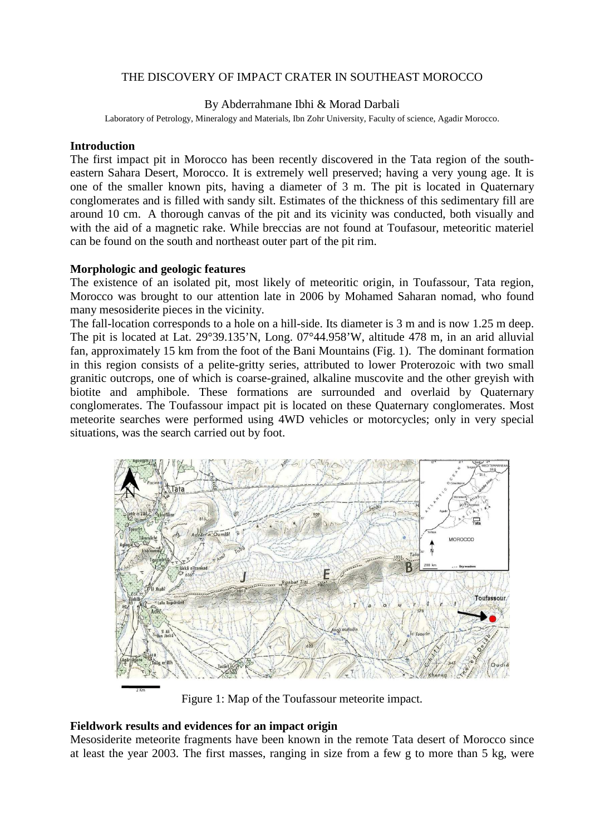# THE DISCOVERY OF IMPACT CRATER IN SOUTHEAST MOROCCO

### By Abderrahmane Ibhi & Morad Darbali

Laboratory of Petrology, Mineralogy and Materials, Ibn Zohr University, Faculty of science, Agadir Morocco.

## **Introduction**

The first impact pit in Morocco has been recently discovered in the Tata region of the southeastern Sahara Desert, Morocco. It is extremely well preserved; having a very young age. It is one of the smaller known pits, having a diameter of 3 m. The pit is located in Quaternary conglomerates and is filled with sandy silt. Estimates of the thickness of this sedimentary fill are around 10 cm. A thorough canvas of the pit and its vicinity was conducted, both visually and with the aid of a magnetic rake. While breccias are not found at Toufasour, meteoritic materiel can be found on the south and northeast outer part of the pit rim.

#### **Morphologic and geologic features**

The existence of an isolated pit, most likely of meteoritic origin, in Toufassour, Tata region, Morocco was brought to our attention late in 2006 by Mohamed Saharan nomad, who found many mesosiderite pieces in the vicinity.

The fall-location corresponds to a hole on a hill-side. Its diameter is 3 m and is now 1.25 m deep. The pit is located at Lat. 29°39.135'N, Long. 07°44.958'W, altitude 478 m, in an arid alluvial fan, approximately 15 km from the foot of the Bani Mountains (Fig. 1). The dominant formation in this region consists of a pelite-gritty series, attributed to lower Proterozoic with two small granitic outcrops, one of which is coarse-grained, alkaline muscovite and the other greyish with biotite and amphibole. These formations are surrounded and overlaid by Quaternary conglomerates. The Toufassour impact pit is located on these Quaternary conglomerates. Most meteorite searches were performed using 4WD vehicles or motorcycles; only in very special situations, was the search carried out by foot.



Figure 1: Map of the Toufassour meteorite impact.

#### **Fieldwork results and evidences for an impact origin**

Mesosiderite meteorite fragments have been known in the remote Tata desert of Morocco since at least the year 2003. The first masses, ranging in size from a few g to more than 5 kg, were